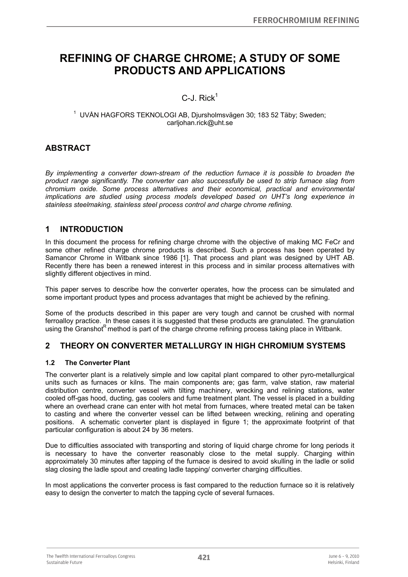# **REFINING OF CHARGE CHROME; A STUDY OF SOME PRODUCTS AND APPLICATIONS**

# $C$ -J. Rick<sup>1</sup>

#### <sup>1</sup> UVÅN HAGFORS TEKNOLOGI AB, Djursholmsvägen 30; 183 52 Täby; Sweden; carljohan.rick@uht.se

# **ABSTRACT**

*By implementing a converter down-stream of the reduction furnace it is possible to broaden the product range significantly. The converter can also successfully be used to strip furnace slag from chromium oxide. Some process alternatives and their economical, practical and environmental implications are studied using process models developed based on UHT's long experience in stainless steelmaking, stainless steel process control and charge chrome refining.* 

# **1 INTRODUCTION**

In this document the process for refining charge chrome with the objective of making MC FeCr and some other refined charge chrome products is described. Such a process has been operated by Samancor Chrome in Witbank since 1986 [1]. That process and plant was designed by UHT AB. Recently there has been a renewed interest in this process and in similar process alternatives with slightly different objectives in mind.

This paper serves to describe how the converter operates, how the process can be simulated and some important product types and process advantages that might be achieved by the refining.

Some of the products described in this paper are very tough and cannot be crushed with normal ferroalloy practice. In these cases it is suggested that these products are granulated. The granulation using the Granshot<sup>R</sup> method is part of the charge chrome refining process taking place in Witbank.

# **2 THEORY ON CONVERTER METALLURGY IN HIGH CHROMIUM SYSTEMS**

#### **1.2 The Converter Plant**

The converter plant is a relatively simple and low capital plant compared to other pyro-metallurgical units such as furnaces or kilns. The main components are; gas farm, valve station, raw material distribution centre, converter vessel with tilting machinery, wrecking and relining stations, water cooled off-gas hood, ducting, gas coolers and fume treatment plant. The vessel is placed in a building where an overhead crane can enter with hot metal from furnaces, where treated metal can be taken to casting and where the converter vessel can be lifted between wrecking, relining and operating positions. A schematic converter plant is displayed in figure 1; the approximate footprint of that particular configuration is about 24 by 36 meters.

Due to difficulties associated with transporting and storing of liquid charge chrome for long periods it is necessary to have the converter reasonably close to the metal supply. Charging within approximately 30 minutes after tapping of the furnace is desired to avoid skulling in the ladle or solid slag closing the ladle spout and creating ladle tapping/ converter charging difficulties.

In most applications the converter process is fast compared to the reduction furnace so it is relatively easy to design the converter to match the tapping cycle of several furnaces.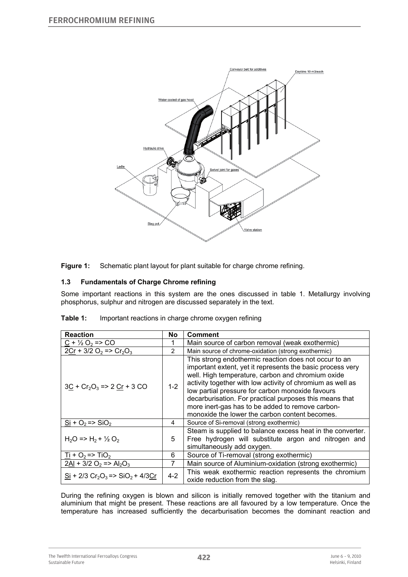

**Figure 1:** Schematic plant layout for plant suitable for charge chrome refining.

### **1.3 Fundamentals of Charge Chrome refining**

Some important reactions in this system are the ones discussed in table 1. Metallurgy involving phosphorus, sulphur and nitrogen are discussed separately in the text.

| <b>Reaction</b>                                     | No             | <b>Comment</b>                                                                                                                                                                                                                                                                                                                                                                                                                                              |  |  |  |  |
|-----------------------------------------------------|----------------|-------------------------------------------------------------------------------------------------------------------------------------------------------------------------------------------------------------------------------------------------------------------------------------------------------------------------------------------------------------------------------------------------------------------------------------------------------------|--|--|--|--|
| $C + \frac{1}{2}O_2 \Rightarrow CO$                 |                | Main source of carbon removal (weak exothermic)                                                                                                                                                                                                                                                                                                                                                                                                             |  |  |  |  |
| $2Cr + 3/2 O_2$ => $Cr_2O_3$                        | $\overline{2}$ | Main source of chrome-oxidation (strong exothermic)                                                                                                                                                                                                                                                                                                                                                                                                         |  |  |  |  |
| $3C + Cr2O3 => 2 Cr + 3 CO$                         | $1-2$          | This strong endothermic reaction does not occur to an<br>important extent, yet it represents the basic process very<br>well. High temperature, carbon and chromium oxide<br>activity together with low activity of chromium as well as<br>low partial pressure for carbon monoxide favours<br>decarburisation. For practical purposes this means that<br>more inert-gas has to be added to remove carbon-<br>monoxide the lower the carbon content becomes. |  |  |  |  |
| $Si + O2 => SiO2$                                   | 4              | Source of Si-removal (strong exothermic)                                                                                                                                                                                                                                                                                                                                                                                                                    |  |  |  |  |
| $H_2O \Rightarrow H_2 + \frac{1}{2}O_2$             | 5              | Steam is supplied to balance excess heat in the converter.<br>Free hydrogen will substitute argon and nitrogen and<br>simultaneously add oxygen.                                                                                                                                                                                                                                                                                                            |  |  |  |  |
| $\frac{1}{2}$ + O <sub>2</sub> = > TiO <sub>2</sub> | 6              | Source of Ti-removal (strong exothermic)                                                                                                                                                                                                                                                                                                                                                                                                                    |  |  |  |  |
| $2Al + 3/2 O_2$ => $Al_2O_3$                        |                | Main source of Aluminium-oxidation (strong exothermic)                                                                                                                                                                                                                                                                                                                                                                                                      |  |  |  |  |
| $Si + 2/3 Cr2O3 => SiO2 + 4/3Cr$                    | $4 - 2$        | This weak exothermic reaction represents the chromium<br>oxide reduction from the slag.                                                                                                                                                                                                                                                                                                                                                                     |  |  |  |  |

During the refining oxygen is blown and silicon is initially removed together with the titanium and aluminium that might be present. These reactions are all favoured by a low temperature. Once the temperature has increased sufficiently the decarburisation becomes the dominant reaction and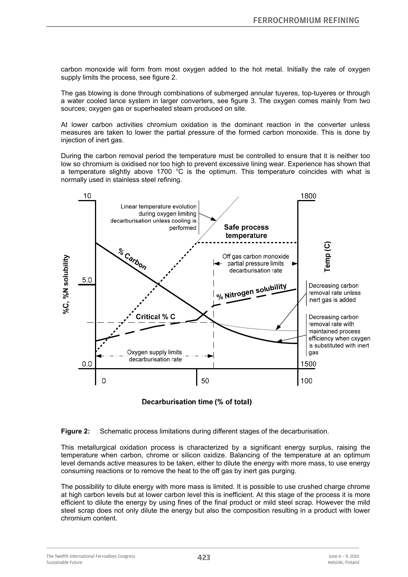carbon monoxide will form from most oxygen added to the hot metal. Initially the rate of oxygen supply limits the process, see figure 2.

The gas blowing is done through combinations of submerged annular tuyeres, top-tuyeres or through a water cooled lance system in larger converters, see figure 3. The oxygen comes mainly from two sources; oxygen gas or superheated steam produced on site.

At lower carbon activities chromium oxidation is the dominant reaction in the converter unless measures are taken to lower the partial pressure of the formed carbon monoxide. This is done by injection of inert gas.

During the carbon removal period the temperature must be controlled to ensure that it is neither too low so chromium is oxidised nor too high to prevent excessive lining wear. Experience has shown that a temperature slightly above 1700 °C is the optimum. This temperature coincides with what is normally used in stainless steel refining.



Decarburisation time (% of total)

**Figure 2:** Schematic process limitations during different stages of the decarburisation.

This metallurgical oxidation process is characterized by a significant energy surplus, raising the temperature when carbon, chrome or silicon oxidize. Balancing of the temperature at an optimum level demands active measures to be taken, either to dilute the energy with more mass, to use energy consuming reactions or to remove the heat to the off gas by inert gas purging.

The possibility to dilute energy with more mass is limited. It is possible to use crushed charge chrome at high carbon levels but at lower carbon level this is inefficient. At this stage of the process it is more efficient to dilute the energy by using fines of the final product or mild steel scrap. However the mild steel scrap does not only dilute the energy but also the composition resulting in a product with lower chromium content.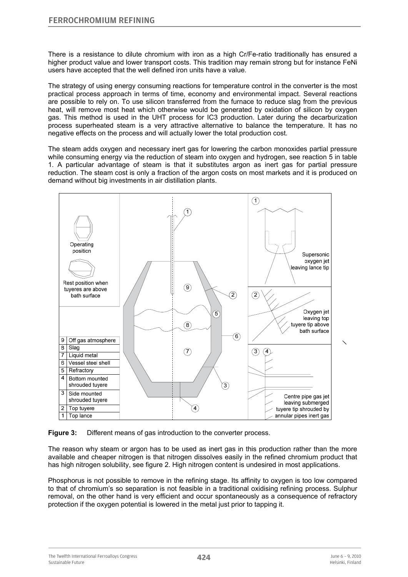There is a resistance to dilute chromium with iron as a high Cr/Fe-ratio traditionally has ensured a higher product value and lower transport costs. This tradition may remain strong but for instance FeNi users have accepted that the well defined iron units have a value.

The strategy of using energy consuming reactions for temperature control in the converter is the most practical process approach in terms of time, economy and environmental impact. Several reactions are possible to rely on. To use silicon transferred from the furnace to reduce slag from the previous heat, will remove most heat which otherwise would be generated by oxidation of silicon by oxygen gas. This method is used in the UHT process for IC3 production. Later during the decarburization process superheated steam is a very attractive alternative to balance the temperature. It has no negative effects on the process and will actually lower the total production cost.

The steam adds oxygen and necessary inert gas for lowering the carbon monoxides partial pressure while consuming energy via the reduction of steam into oxygen and hydrogen, see reaction 5 in table 1. A particular advantage of steam is that it substitutes argon as inert gas for partial pressure reduction. The steam cost is only a fraction of the argon costs on most markets and it is produced on demand without big investments in air distillation plants.



**Figure 3:** Different means of gas introduction to the converter process.

The reason why steam or argon has to be used as inert gas in this production rather than the more available and cheaper nitrogen is that nitrogen dissolves easily in the refined chromium product that has high nitrogen solubility, see figure 2. High nitrogen content is undesired in most applications.

Phosphorus is not possible to remove in the refining stage. Its affinity to oxygen is too low compared to that of chromium's so separation is not feasible in a traditional oxidising refining process. Sulphur removal, on the other hand is very efficient and occur spontaneously as a consequence of refractory protection if the oxygen potential is lowered in the metal just prior to tapping it.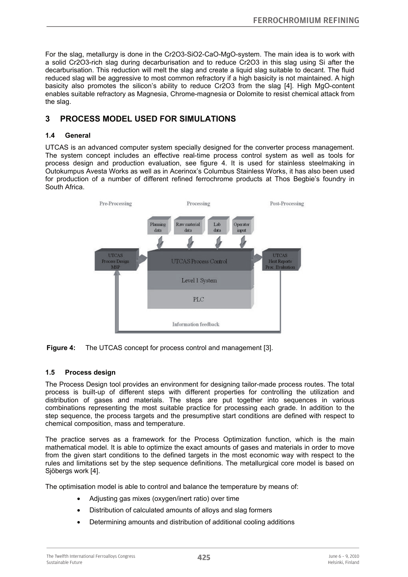For the slag, metallurgy is done in the Cr2O3-SiO2-CaO-MgO-system. The main idea is to work with a solid Cr2O3-rich slag during decarburisation and to reduce Cr2O3 in this slag using Si after the decarburisation. This reduction will melt the slag and create a liquid slag suitable to decant. The fluid reduced slag will be aggressive to most common refractory if a high basicity is not maintained. A high basicity also promotes the silicon's ability to reduce Cr2O3 from the slag [4]. High MgO-content enables suitable refractory as Magnesia, Chrome-magnesia or Dolomite to resist chemical attack from the slag.

# **3 PROCESS MODEL USED FOR SIMULATIONS**

#### **1.4 General**

UTCAS is an advanced computer system specially designed for the converter process management. The system concept includes an effective real-time process control system as well as tools for process design and production evaluation, see figure 4. It is used for stainless steelmaking in Outokumpus Avesta Works as well as in Acerinox's Columbus Stainless Works, it has also been used for production of a number of different refined ferrochrome products at Thos Begbie's foundry in South Africa.





#### **1.5 Process design**

The Process Design tool provides an environment for designing tailor-made process routes. The total process is built-up of different steps with different properties for controlling the utilization and distribution of gases and materials. The steps are put together into sequences in various combinations representing the most suitable practice for processing each grade. In addition to the step sequence, the process targets and the presumptive start conditions are defined with respect to chemical composition, mass and temperature.

The practice serves as a framework for the Process Optimization function, which is the main mathematical model. It is able to optimize the exact amounts of gases and materials in order to move from the given start conditions to the defined targets in the most economic way with respect to the rules and limitations set by the step sequence definitions. The metallurgical core model is based on Sjöbergs work [4].

The optimisation model is able to control and balance the temperature by means of:

- Adjusting gas mixes (oxygen/inert ratio) over time
- Distribution of calculated amounts of alloys and slag formers
- Determining amounts and distribution of additional cooling additions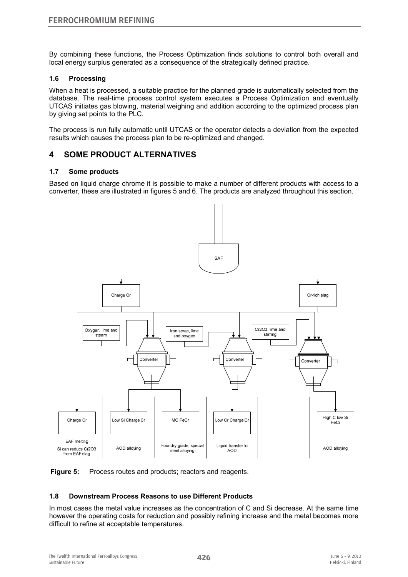By combining these functions, the Process Optimization finds solutions to control both overall and local energy surplus generated as a consequence of the strategically defined practice.

#### **1.6 Processing**

When a heat is processed, a suitable practice for the planned grade is automatically selected from the database. The real-time process control system executes a Process Optimization and eventually UTCAS initiates gas blowing, material weighing and addition according to the optimized process plan by giving set points to the PLC.

The process is run fully automatic until UTCAS or the operator detects a deviation from the expected results which causes the process plan to be re-optimized and changed.

# **4 SOME PRODUCT ALTERNATIVES**

#### **1.7 Some products**

Based on liquid charge chrome it is possible to make a number of different products with access to a converter, these are illustrated in figures 5 and 6. The products are analyzed throughout this section.



**Figure 5:** Process routes and products; reactors and reagents.

#### **1.8 Downstream Process Reasons to use Different Products**

In most cases the metal value increases as the concentration of C and Si decrease. At the same time however the operating costs for reduction and possibly refining increase and the metal becomes more difficult to refine at acceptable temperatures.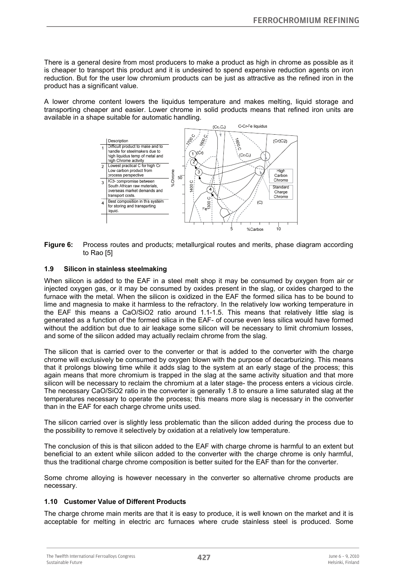There is a general desire from most producers to make a product as high in chrome as possible as it is cheaper to transport this product and it is undesired to spend expensive reduction agents on iron reduction. But for the user low chromium products can be just as attractive as the refined iron in the product has a significant value.

A lower chrome content lowers the liquidus temperature and makes melting, liquid storage and transporting cheaper and easier. Lower chrome in solid products means that refined iron units are available in a shape suitable for automatic handling.



**Figure 6:** Process routes and products; metallurgical routes and merits, phase diagram according to Rao [5]

#### **1.9 Silicon in stainless steelmaking**

When silicon is added to the EAF in a steel melt shop it may be consumed by oxygen from air or injected oxygen gas, or it may be consumed by oxides present in the slag, or oxides charged to the furnace with the metal. When the silicon is oxidized in the EAF the formed silica has to be bound to lime and magnesia to make it harmless to the refractory. In the relatively low working temperature in the EAF this means a CaO/SiO2 ratio around 1.1-1.5. This means that relatively little slag is generated as a function of the formed silica in the EAF- of course even less silica would have formed without the addition but due to air leakage some silicon will be necessary to limit chromium losses, and some of the silicon added may actually reclaim chrome from the slag.

The silicon that is carried over to the converter or that is added to the converter with the charge chrome will exclusively be consumed by oxygen blown with the purpose of decarburizing. This means that it prolongs blowing time while it adds slag to the system at an early stage of the process; this again means that more chromium is trapped in the slag at the same activity situation and that more silicon will be necessary to reclaim the chromium at a later stage- the process enters a vicious circle. The necessary CaO/SiO2 ratio in the converter is generally 1.8 to ensure a lime saturated slag at the temperatures necessary to operate the process; this means more slag is necessary in the converter than in the EAF for each charge chrome units used.

The silicon carried over is slightly less problematic than the silicon added during the process due to the possibility to remove it selectively by oxidation at a relatively low temperature.

The conclusion of this is that silicon added to the EAF with charge chrome is harmful to an extent but beneficial to an extent while silicon added to the converter with the charge chrome is only harmful, thus the traditional charge chrome composition is better suited for the EAF than for the converter.

Some chrome alloying is however necessary in the converter so alternative chrome products are necessary.

#### **1.10 Customer Value of Different Products**

The charge chrome main merits are that it is easy to produce, it is well known on the market and it is acceptable for melting in electric arc furnaces where crude stainless steel is produced. Some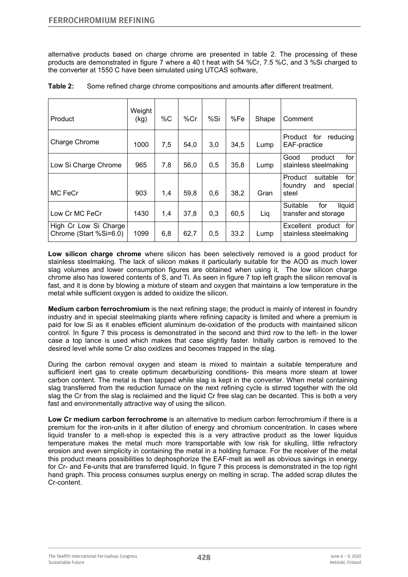alternative products based on charge chrome are presented in table 2. The processing of these products are demonstrated in figure 7 where a 40 t heat with 54 %Cr, 7.5 %C, and 3 %Si charged to the converter at 1550 C have been simulated using UTCAS software,

| Product                                         | Weight<br>(kg) | %C  | %Cr  | %Si | %Fe  | Shape | Comment                                                          |
|-------------------------------------------------|----------------|-----|------|-----|------|-------|------------------------------------------------------------------|
| Charge Chrome                                   | 1000           | 7,5 | 54,0 | 3,0 | 34,5 | Lump  | Product for<br>reducing<br>EAF-practice                          |
| Low Si Charge Chrome                            | 965            | 7,8 | 56,0 | 0,5 | 35,8 | Lump  | for<br>Good<br>product<br>stainless steelmaking                  |
| MC FeCr                                         | 903            | 1,4 | 59,8 | 0,6 | 38,2 | Gran  | for<br>Product<br>suitable<br>foundry<br>special<br>and<br>steel |
| Low Cr MC FeCr                                  | 1430           | 1,4 | 37,8 | 0,3 | 60,5 | Lig   | Suitable<br>for<br>liquid<br>transfer and storage                |
| High Cr Low Si Charge<br>Chrome (Start %Si=6.0) | 1099           | 6,8 | 62,7 | 0,5 | 33.2 | Lump  | Excellent<br>product for<br>stainless steelmaking                |

**Table 2:** Some refined charge chrome compositions and amounts after different treatment.

**Low silicon charge chrome** where silicon has been selectively removed is a good product for stainless steelmaking. The lack of silicon makes it particularly suitable for the AOD as much lower slag volumes and lower consumption figures are obtained when using it, The low silicon charge chrome also has lowered contents of S, and Ti. As seen in figure 7 top left graph the silicon removal is fast, and it is done by blowing a mixture of steam and oxygen that maintains a low temperature in the metal while sufficient oxygen is added to oxidize the silicon.

**Medium carbon ferrochromium** is the next refining stage; the product is mainly of interest in foundry industry and in special steelmaking plants where refining capacity is limited and where a premium is paid for low Si as it enables efficient aluminium de-oxidation of the products with maintained silicon control. In figure 7 this process is demonstrated in the second and third row to the left- in the lower case a top lance is used which makes that case slightly faster. Initially carbon is removed to the desired level while some Cr also oxidizes and becomes trapped in the slag.

During the carbon removal oxygen and steam is mixed to maintain a suitable temperature and sufficient inert gas to create optimum decarburizing conditions- this means more steam at lower carbon content. The metal is then tapped while slag is kept in the converter. When metal containing slag transferred from the reduction furnace on the next refining cycle is stirred together with the old slag the Cr from the slag is reclaimed and the liquid Cr free slag can be decanted. This is both a very fast and environmentally attractive way of using the silicon.

**Low Cr medium carbon ferrochrome** is an alternative to medium carbon ferrochromium if there is a premium for the iron-units in it after dilution of energy and chromium concentration. In cases where liquid transfer to a melt-shop is expected this is a very attractive product as the lower liquidus temperature makes the metal much more transportable with low risk for skulling, little refractory erosion and even simplicity in containing the metal in a holding furnace. For the receiver of the metal this product means possibilities to dephosphorize the EAF-melt as well as obvious savings in energy for Cr- and Fe-units that are transferred liquid. In figure 7 this process is demonstrated in the top right hand graph. This process consumes surplus energy on melting in scrap. The added scrap dilutes the Cr-content.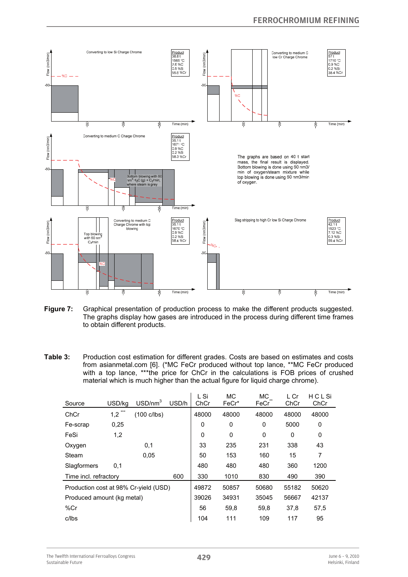

**Figure 7:** Graphical presentation of production process to make the different products suggested. The graphs display how gases are introduced in the process during different time frames to obtain different products.

**Table 3:** Production cost estimation for different grades. Costs are based on estimates and costs from asianmetal.com [6]. (\*MC FeCr produced without top lance, \*\*MC FeCr produced with a top lance, \*\*\*the price for ChCr in the calculations is FOB prices of crushed material which is much higher than the actual figure for liquid charge chrome).

| Source                                | USD/ka     | USD/nm <sup>3</sup>   | USD/h | L Si<br>ChCr | <b>MC</b><br>FeCr* | <b>MC</b><br>FeCr | L Cr<br>ChCr | HCLSi<br>ChCr |
|---------------------------------------|------------|-----------------------|-------|--------------|--------------------|-------------------|--------------|---------------|
| ChCr                                  | ***<br>1,2 | $(100 \text{ c/lbs})$ |       | 48000        | 48000              | 48000             | 48000        | 48000         |
| Fe-scrap                              | 0.25       |                       |       | 0            | 0                  | 0                 | 5000         | 0             |
| FeSi                                  | 1,2        |                       |       | 0            | 0                  | 0                 | 0            | 0             |
| Oxygen                                |            | 0,1                   |       | 33           | 235                | 231               | 338          | 43            |
| Steam                                 |            | 0.05                  |       | 50           | 153                | 160               | 15           | 7             |
| Slagformers                           | 0,1        |                       |       | 480          | 480                | 480               | 360          | 1200          |
| Time incl. refractory                 |            |                       | 600   | 330          | 1010               | 830               | 490          | 390           |
| Production cost at 98% Cr-yield (USD) |            |                       | 49872 | 50857        | 50680              | 55182             | 50620        |               |
| Produced amount (kg metal)            |            |                       | 39026 | 34931        | 35045              | 56667             | 42137        |               |
| %Cr                                   |            |                       |       | 56           | 59,8               | 59,8              | 37,8         | 57,5          |
| c/lbs                                 |            |                       |       | 104          | 111                | 109               | 117          | 95            |